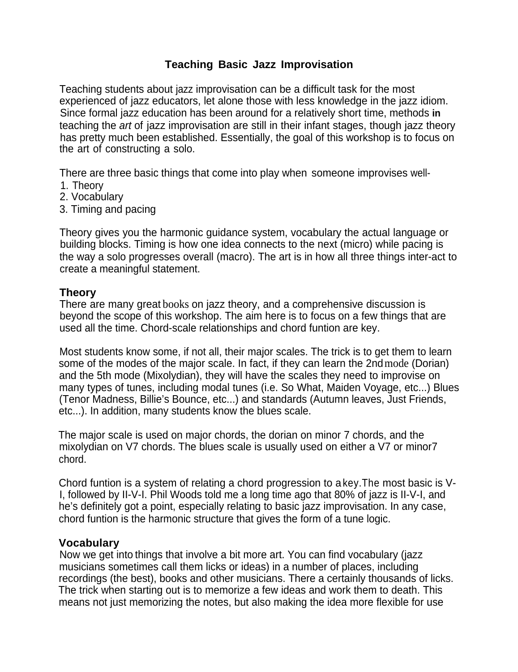# **Teaching Basic Jazz Improvisation**

Teaching students about jazz improvisation can be a difficult task for the most experienced of jazz educators, let alone those with less knowledge in the jazz idiom. Since formal jazz education has been around for a relatively short time, methods **in** teaching the *art* of jazz improvisation are still in their infant stages, though jazz theory has pretty much been established. Essentially, the goal of this workshop is to focus on the art of constructing a solo.

There are three basic things that come into play when someone improvises well-

- 1. Theory
- 2. Vocabulary
- 3. Timing and pacing

Theory gives you the harmonic guidance system, vocabulary the actual language or building blocks. Timing is how one idea connects to the next (micro) while pacing is the way a solo progresses overall (macro). The art is in how all three things inter-act to create a meaningful statement.

## **Theory**

There are many great books on jazz theory, and a comprehensive discussion is beyond the scope of this workshop. The aim here is to focus on a few things that are used all the time. Chord-scale relationships and chord funtion are key.

Most students know some, if not all, their major scales. The trick is to get them to learn some of the modes of the major scale. In fact, if they can learn the 2nd mode (Dorian) and the 5th mode (Mixolydian), they will have the scales they need to improvise on many types of tunes, including modal tunes (i.e. So What, Maiden Voyage, etc...) Blues (Tenor Madness, Billie's Bounce, etc...) and standards (Autumn leaves, Just Friends, etc...). In addition, many students know the blues scale.

The major scale is used on major chords, the dorian on minor 7 chords, and the mixolydian on V7 chords. The blues scale is usually used on either a V7 or minor7 chord.

Chord funtion is a system of relating a chord progression to a key.The most basic is V-I, followed by II-V-I. Phil Woods told me a long time ago that 80% of jazz is II-V-I, and he's definitely got a point, especially relating to basic jazz improvisation. In any case, chord funtion is the harmonic structure that gives the form of a tune logic.

#### **Vocabulary**

Now we get into things that involve a bit more art. You can find vocabulary (jazz musicians sometimes call them licks or ideas) in a number of places, including recordings (the best), books and other musicians. There a certainly thousands of licks. The trick when starting out is to memorize a few ideas and work them to death. This means not just memorizing the notes, but also making the idea more flexible for use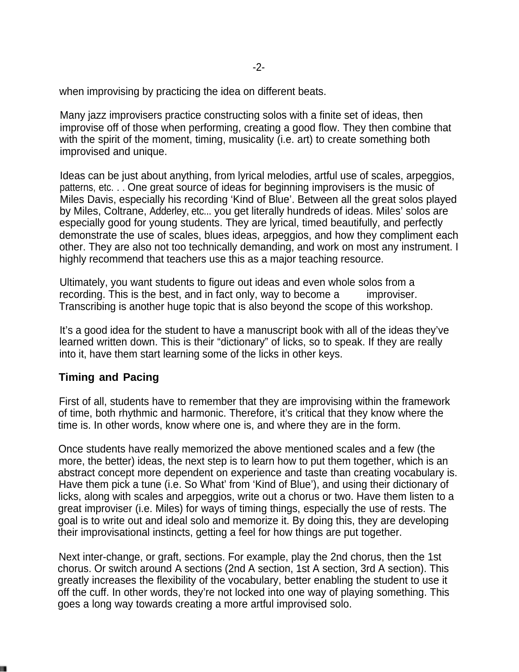when improvising by practicing the idea on different beats.

Many jazz improvisers practice constructing solos with a finite set of ideas, then improvise off of those when performing, creating a good flow. They then combine that with the spirit of the moment, timing, musicality (i.e. art) to create something both improvised and unique.

Ideas can be just about anything, from lyrical melodies, artful use of scales, arpeggios, patterns, etc. . . One great source of ideas for beginning improvisers is the music of Miles Davis, especially his recording 'Kind of Blue'. Between all the great solos played by Miles, Coltrane, Adderley, etc... you get literally hundreds of ideas. Miles' solos are especially good for young students. They are lyrical, timed beautifully, and perfectly demonstrate the use of scales, blues ideas, arpeggios, and how they compliment each other. They are also not too technically demanding, and work on most any instrument. I highly recommend that teachers use this as a major teaching resource.

Ultimately, you want students to figure out ideas and even whole solos from a recording. This is the best, and in fact only, way to become a great improviser. Transcribing is another huge topic that is also beyond the scope of this workshop.

It's a good idea for the student to have a manuscript book with all of the ideas they've learned written down. This is their "dictionary" of licks, so to speak. If they are really into it, have them start learning some of the licks in other keys.

#### **Timing and Pacing**

First of all, students have to remember that they are improvising within the framework of time, both rhythmic and harmonic. Therefore, it's critical that they know where the time is. In other words, know where one is, and where they are in the form.

Once students have really memorized the above mentioned scales and a few (the more, the better) ideas, the next step is to learn how to put them together, which is an abstract concept more dependent on experience and taste than creating vocabulary is. Have them pick a tune (i.e. So What' from 'Kind of Blue'), and using their dictionary of licks, along with scales and arpeggios, write out a chorus or two. Have them listen to a great improviser (i.e. Miles) for ways of timing things, especially the use of rests. The goal is to write out and ideal solo and memorize it. By doing this, they are developing their improvisational instincts, getting a feel for how things are put together.

Next inter-change, or graft, sections. For example, play the 2nd chorus, then the 1st chorus. Or switch around A sections (2nd A section, 1st A section, 3rd A section). This greatly increases the flexibility of the vocabulary, better enabling the student to use it off the cuff. In other words, they're not locked into one way of playing something. This goes a long way towards creating a more artful improvised solo.